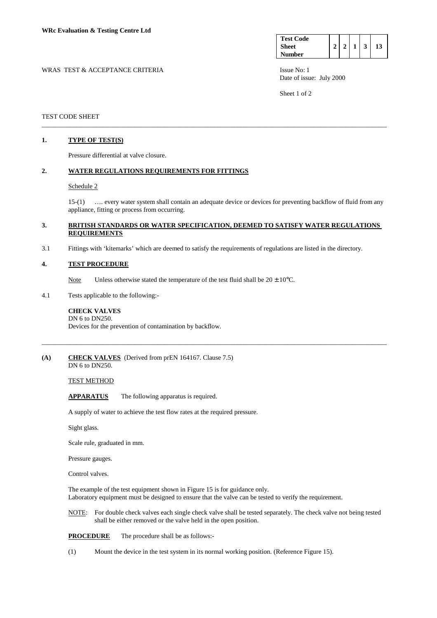| <b>Test Code</b> |  |  |  |
|------------------|--|--|--|
| <b>Sheet</b>     |  |  |  |
| <b>Number</b>    |  |  |  |

WRAS TEST & ACCEPTANCE CRITERIA ISSUE No: 1 Date of issue: July 2000

Sheet 1 of 2

### TEST CODE SHEET

# **1. TYPE OF TEST(S)**

Pressure differential at valve closure.

# **2. WATER REGULATIONS REQUIREMENTS FOR FITTINGS**

### Schedule 2

 15-(1) …. every water system shall contain an adequate device or devices for preventing backflow of fluid from any appliance, fitting or process from occurring.

### **3. BRITISH STANDARDS OR WATER SPECIFICATION, DEEMED TO SATISFY WATER REGULATIONS REQUIREMENTS**

\_\_\_\_\_\_\_\_\_\_\_\_\_\_\_\_\_\_\_\_\_\_\_\_\_\_\_\_\_\_\_\_\_\_\_\_\_\_\_\_\_\_\_\_\_\_\_\_\_\_\_\_\_\_\_\_\_\_\_\_\_\_\_\_\_\_\_\_\_\_\_\_\_\_\_\_\_\_\_\_\_\_\_\_\_\_\_\_\_\_\_\_\_\_\_\_\_\_\_\_\_\_\_

\_\_\_\_\_\_\_\_\_\_\_\_\_\_\_\_\_\_\_\_\_\_\_\_\_\_\_\_\_\_\_\_\_\_\_\_\_\_\_\_\_\_\_\_\_\_\_\_\_\_\_\_\_\_\_\_\_\_\_\_\_\_\_\_\_\_\_\_\_\_\_\_\_\_\_\_\_\_\_\_\_\_\_\_\_\_\_\_\_\_\_\_\_\_\_\_\_\_\_\_\_\_\_

3.1 Fittings with 'kitemarks' which are deemed to satisfy the requirements of regulations are listed in the directory.

### **4. TEST PROCEDURE**

- Note Unless otherwise stated the temperature of the test fluid shall be  $20 \pm 10^{\circ}$ C.
- 4.1 Tests applicable to the following:-

#### **CHECK VALVES**  DN 6 to DN250.

Devices for the prevention of contamination by backflow.

### **(A) CHECK VALVES** (Derived from prEN 164167. Clause 7.5) DN 6 to DN250.

TEST METHOD

 **APPARATUS** The following apparatus is required.

A supply of water to achieve the test flow rates at the required pressure.

Sight glass.

Scale rule, graduated in mm.

Pressure gauges.

Control valves.

The example of the test equipment shown in Figure 15 is for guidance only. Laboratory equipment must be designed to ensure that the valve can be tested to verify the requirement.

 NOTE: For double check valves each single check valve shall be tested separately. The check valve not being tested shall be either removed or the valve held in the open position.

 **PROCEDURE** The procedure shall be as follows:-

(1) Mount the device in the test system in its normal working position. (Reference Figure 15).